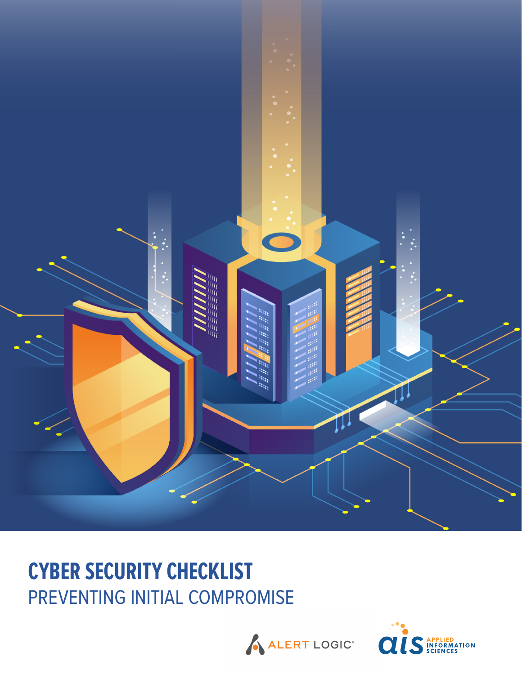

# **CYBER SECURITY CHECKLIST** PREVENTING INITIAL COMPROMISE



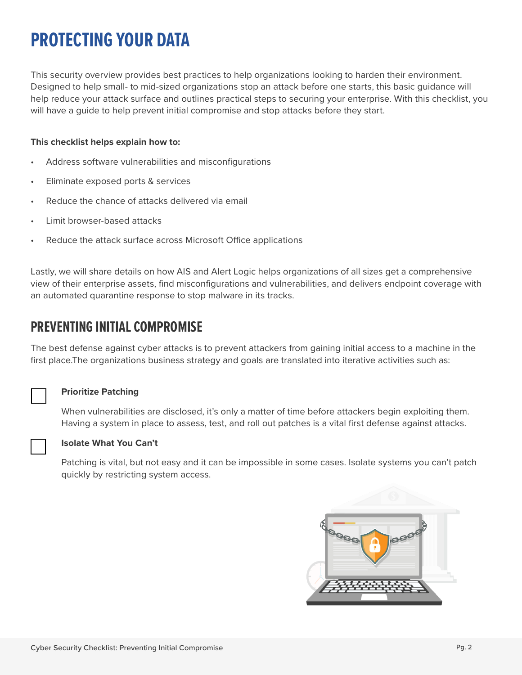## **PROTECTING YOUR DATA**

This security overview provides best practices to help organizations looking to harden their environment. Designed to help small- to mid-sized organizations stop an attack before one starts, this basic guidance will help reduce your attack surface and outlines practical steps to securing your enterprise. With this checklist, you will have a guide to help prevent initial compromise and stop attacks before they start.

### **This checklist helps explain how to:**

- Address software vulnerabilities and misconfigurations
- Eliminate exposed ports & services
- Reduce the chance of attacks delivered via email
- Limit browser-based attacks
- Reduce the attack surface across Microsoft Office applications

Lastly, we will share details on how AIS and Alert Logic helps organizations of all sizes get a comprehensive view of their enterprise assets, find misconfigurations and vulnerabilities, and delivers endpoint coverage with an automated quarantine response to stop malware in its tracks.

## **PREVENTING INITIAL COMPROMISE**

The best defense against cyber attacks is to prevent attackers from gaining initial access to a machine in the first place. The organizations business strategy and goals are translated into iterative activities such as:

#### **Prioritize Patching**

When vulnerabilities are disclosed, it's only a matter of time before attackers begin exploiting them. Having a system in place to assess, test, and roll out patches is a vital first defense against attacks.



#### **Isolate What You Can't**

Patching is vital, but not easy and it can be impossible in some cases. Isolate systems you can't patch quickly by restricting system access.

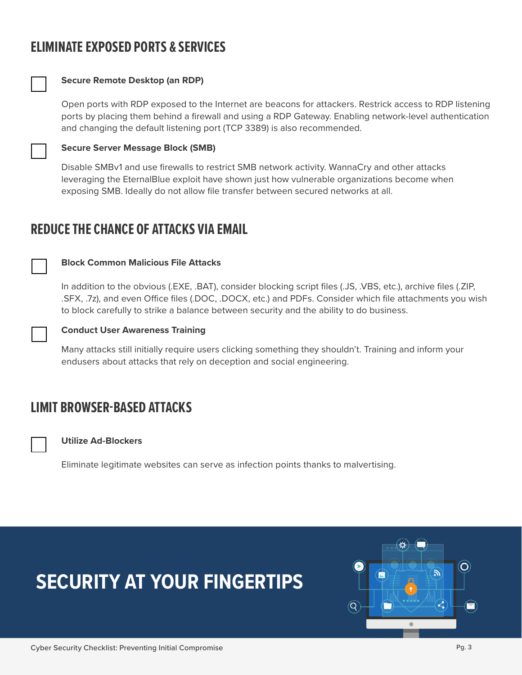## **ELIMINATE EXPOSED PORTS & SERVICES**



## **Secure Remote Desktop (an RDP)**

Open ports with RDP exposed to the Internet are beacons for attackers. Restrick access to RDP listening ports by placing them behind a firewall and using a RDP Gateway. Enabling network-level authentication and changing the default listening port (TCP 3389) is also recommended.

#### **Secure Server Message Block (SMB)**

Disable SMBv1 and use firewalls to restrict SMB network activity. WannaCry and other attacks leveraging the EternalBlue exploit have shown just how vulnerable organizations become when exposing SMB. Ideally do not allow file transfer between secured networks at all.

## **REDUCE THE CHANCE OF ATTACKS VIA EMAIL**

#### **Block Common Malicious File Attacks**

In addition to the obvious (.EXE, .BAT), consider blocking script files (.JS, .VBS, etc.), archive files (.ZIP, .SFX, .7z), and even Office files (.DOC, .DOCX, etc.) and PDFs. Consider which file attachments you wish to block carefully to strike a balance between security and the ability to do business.



### **Conduct User Awareness Training**

Many attacks still initially require users clicking something they shouldn't. Training and inform your endusers about attacks that rely on deception and social engineering.

## **LIMIT BROWSER-BASED ATTACKS**



#### **Utilize Ad-Blockers**

Eliminate legitimate websites can serve as infection points thanks to malvertising.

## **SECURITY AT YOUR FINGERTIPS**

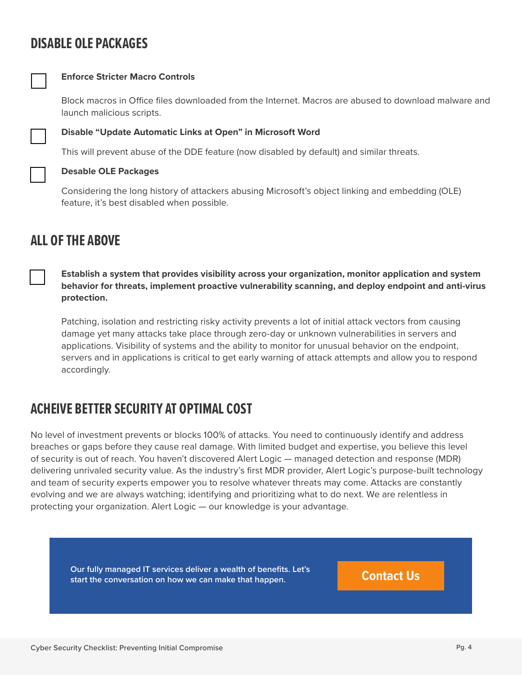## **DISABLE OLE PACKAGES**



### **Enforce Stricter Macro Controls**

Block macros in Office files downloaded from the Internet. Macros are abused to download malware and launch malicious scripts.



### **Disable "Update Automatic Links at Open" in Microsoft Word**

This will prevent abuse of the DDE feature (now disabled by default) and similar threats.

#### **Desable OLE Packages**

Considering the long history of attackers abusing Microsoft's object linking and embedding (OLE) feature, it's best disabled when possible.

## **ALL OF THE ABOVE**

**Establish a system that provides visibility across your organization, monitor application and system behavior for threats, implement proactive vulnerability scanning, and deploy endpoint and anti-virus protection.**

Patching, isolation and restricting risky activity prevents a lot of initial attack vectors from causing damage yet many attacks take place through zero-day or unknown vulnerabilities in servers and applications. Visibility of systems and the ability to monitor for unusual behavior on the endpoint, servers and in applications is critical to get early warning of attack attempts and allow you to respond accordingly.

## **ACHEIVE BETTER SECURITY AT OPTIMAL COST**

No level of investment prevents or blocks 100% of attacks. You need to continuously identify and address breaches or gaps before they cause real damage. With limited budget and expertise, you believe this level of security is out of reach. You haven't discovered Alert Logic — managed detection and response (MDR) delivering unrivaled security value. As the industry's first MDR provider, Alert Logic's purpose-built technology and team of security experts empower you to resolve whatever threats may come. Attacks are constantly evolving and we are always watching; identifying and prioritizing what to do next. We are relentless in protecting your organization. Alert Logic — our knowledge is your advantage.

**Contact Us Our fully managed IT services deliver a wealth of benefits. Let's start the conversation on how we can make that happen.**